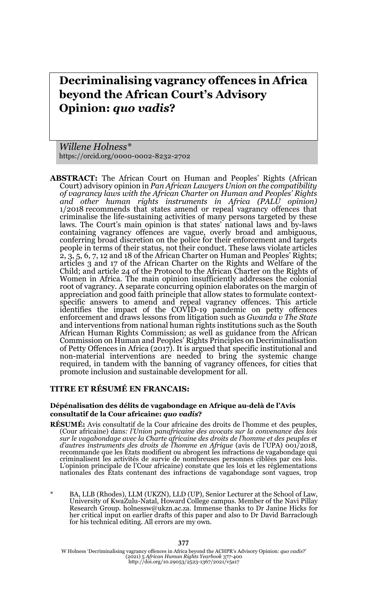# **Decriminalising vagrancy offences in Africa beyond the African Court's Advisory Opinion:** *quo vadis***?**

*Willene Holness\** https://orcid.org/0000-0002-8232-2702

**ABSTRACT:** The African Court on Human and Peoples' Rights (African Court) advisory opinion in *Pan African Lawyers Union on the compatibility of vagrancy laws with the African Charter on Human and Peoples' Rights and other human rights instruments in Africa (PALU opinion)* 1/2018 recommends that states amend or repeal vagrancy offences that criminalise the life-sustaining activities of many persons targeted by these laws. The Court's main opinion is that states' national laws and by-laws containing vagrancy offences are vague, overly broad and ambiguous, conferring broad discretion on the police for their enforcement and targets people in terms of their status, not their conduct. These laws violate articles  $2, 3, 5, 6, 7, 12$  and 18 of the African Charter on Human and Peoples' Rights; articles 3 and 17 of the African Charter on the Rights and Welfare of the Child; and article 24 of the Protocol to the African Charter on the Rights of Women in Africa. The main opinion insufficiently addresses the colonial root of vagrancy. A separate concurring opinion elaborates on the margin of appreciation and good faith principle that allow states to formulate contextspecific answers to amend and repeal vagrancy offences. This article identifies the impact of the COVID-19 pandemic on petty offences enforcement and draws lessons from litigation such as *Gwanda v The State* and interventions from national human rights institutions such as the South African Human Rights Commission; as well as guidance from the African Commission on Human and Peoples' Rights Principles on Decriminalisation of Petty Offences in Africa (2017). It is argued that specific institutional and non-material interventions are needed to bring the systemic change required, in tandem with the banning of vagrancy offences, for cities that promote inclusion and sustainable development for all.

#### **TITRE ET RÉSUMÉ EN FRANCAIS:**

#### **Dépénalisation des délits de vagabondage en Afrique au-delà de l'Avis consultatif de la Cour africaine:** *quo vadis***?**

- **RÉSUMÉ:** Avis consultatif de la Cour africaine des droits de l'homme et des peuples, (Cour africaine) dans*: l'Union panafricaine des avocats sur la convenance des lois* sur le vagabondage avec la Charte africaine des droits de l'homme et des peuples et<br>d'autres instruments des droits de l'homme en Afrique (avis de l'UPA) 001/2018,<br>recommande que les États modifient ou abrogent les infract criminalisent les activités de survie de nombreuses personnes ciblées par ces lois. L'opinion principale de l'Cour africaine) constate que les lois et les règlementations nationales des États contenant des infractions de vagabondage sont vagues, trop
- BA, LLB (Rhodes), LLM (UKZN), LLD (UP), Senior Lecturer at the School of Law, University of KwaZulu-Natal, Howard College campus. Member of the Navi Pillay Research Group. holnessw@ukzn.ac.za. Immense thanks to Dr Janine Hicks for her critical input on earlier drafts of this paper and also to Dr David Barraclough for his technical editing. All errors are my own.

W Holness 'Decriminalising vagrancy offences in Africa beyond the ACHPR's Advisory Opinion: *quo vadis?'*<br>(2021) 5 *African Human Rights Yearbook 377-4*00<br>http://doi.org/10.29053/2523-1367/2021/v5a17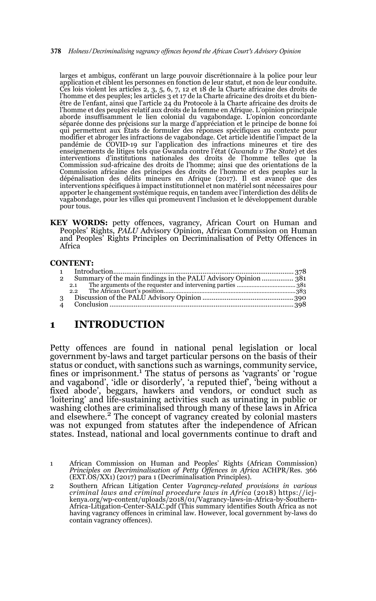**378** *Holness/Decriminalising vagrancy offences beyond the African Court's Advisory Opinion*

larges et ambigus, conférant un large pouvoir discrétionnaire à la police pour leur application et ciblent les personnes en fonction de leur statut, et non de leur conduite. Ces lois violent les articles 2, 3, 5, 6, 7, 12 et 18 de la Charte africaine des droits de l'homme et des peuples; les articles 3 et 17 de la Charte africaine des droits et du bien-être de l'enfant, ainsi que l'article 24 du Protocole à la Charte africaine des droits de l'homme et des peuples relatif aux droits de la femme en Afrique. L'opinion principale aborde insuffisamment le lien colonial du vagabondage. L'opinion concordante séparée donne des précisions sur la marge d'appréciation et le principe de bonne foi qui permettent aux États de formuler des réponses spécifiques au contexte pour modifier et abroger les infractions de vagabondage. Cet article identifie l'impact de la pandémie de COVID-19 sur l'application des infractions mineures et tire des enseignements de litiges tels que Gwanda contre l'état (*Gwanda v The State*) et des interventions d'institutions nationales des droits de l'homme telles que la Commission sud-africaine des droits de l'homme; ainsi que des orientations de la Commission africaine des principes des droits de l'homme et des peuples sur la dépénalisation des délits mineurs en Afrique (2017). Il est avancé que des interventions spécifiques à impact institutionnel et non matériel sont nécessaires pour apporter le changement systémique requis, en tandem avec l'interdiction des délits de vagabondage, pour les villes qui promeuvent l'inclusion et le développement durable pour tous.

**KEY WORDS:** petty offences, vagrancy, African Court on Human and Peoples' Rights, *PALU* Advisory Opinion, African Commission on Human and Peoples' Rights Principles on Decriminalisation of Petty Offences in Africa

#### **CONTENT:**

| $\overline{2}$ |  |
|----------------|--|
| 3              |  |

# **1 INTRODUCTION**

Petty offences are found in national penal legislation or local government by-laws and target particular persons on the basis of their status or conduct, with sanctions such as warnings, community service, fines or imprisonment.<sup>1</sup> The status of persons as 'vagrants' or 'rogue and vagabond', 'idle or disorderly', 'a reputed thief', 'being without a fixed abode', beggars, hawkers and vendors, or conduct such as 'loitering' and life-sustaining activities such as urinating in public or washing clothes are criminalised through many of these laws in Africa and elsewhere.2 The concept of vagrancy created by colonial masters was not expunged from statutes after the independence of African states. Instead, national and local governments continue to draft and

<sup>1</sup> African Commission on Human and Peoples' Rights (African Commission) *Principles on Decriminalisation of Petty Offences in Africa* ACHPR/Res. 366 (EXT.OS/XX1) (2017) para 1 (Decriminalisation Principles).

<sup>2</sup> Southern African Litigation Center *Vagrancy-related provisions in various criminal laws and criminal procedure laws in Africa* (2018) https://icjkenya.org/wp-content/uploads/2018/01/Vagrancy-laws-in-Africa-by-Southern-Africa-Litigation-Center-SALC.pdf (This summary identifies South Africa as not having vagrancy offences in criminal law. However, local government by-laws do contain vagrancy offences).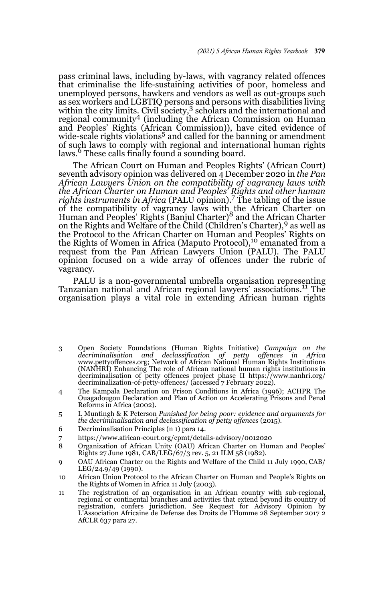pass criminal laws, including by-laws, with vagrancy related offences that criminalise the life-sustaining activities of poor, homeless and unemployed persons, hawkers and vendors as well as out-groups such as sex workers and LGBTIQ persons and persons with disabilities living within the city limits. Civil society,  $3$  scholars and the international and regional community4 (including the African Commission on Human and Peoples' Rights (African Commission)), have cited evidence of wide-scale rights violations<sup>5</sup> and called for the banning or amendment of such laws to comply with regional and international human rights laws.<sup>6</sup> These calls finally found a sounding board.

The African Court on Human and Peoples Rights' (African Court) seventh advisory opinion was delivered on 4 December 2020 in *the Pan African Lawyers Union on the compatibility of vagrancy laws with the African Charter on Human and Peoples' Rights and other human rights instruments in Africa* (PALU opinion).7 The tabling of the issue of the compatibility of vagrancy laws with the African Charter on<br>Human and Peoples' Rights (Banjul Charter)<sup>8</sup> and the African Charter on the Rights and Welfare of the Child (Children's Charter),9 as well as the Protocol to the African Charter on Human and Peoples' Rights on the Rights of Women in Africa (Maputo Protocol),<sup>10</sup> emanated from a request from the Pan African Lawyers Union (PALU). The PALU opinion focused on a wide array of offences under the rubric of vagrancy.

PALU is a non-governmental umbrella organisation representing Tanzanian national and African regional lawyers' associations.11 The organisation plays a vital role in extending African human rights

- 3 Open Society Foundations (Human Rights Initiative) *Campaign on the decriminalisation and declassification of petty offences in Africa* www.pettyoffences.org; Network of African National Human Rights Institutions (NANHRI) Enhancing The role of African national human rights institutions in decriminalisation of petty offences project phase II https://www.nanhri.org/ decriminalization-of-petty-offences/ (accessed 7 February 2022).
- 4 The Kampala Declaration on Prison Conditions in Africa (1996); ACHPR The Ouagadougou Declaration and Plan of Action on Accelerating Prisons and Penal Reforms in Africa (2002)*.*
- 5 L Muntingh & K Peterson *Punished for being poor: evidence and arguments for the decriminalisation and declassification of petty offences* (2015).
- 6 Decriminalisation Principles (n 1) para 14.
- 7 https://www.african-court.org/cpmt/details-advisory/0012020
- 8 Organization of African Unity (OAU) African Charter on Human and Peoples' Rights 27 June 1981, CAB/LEG/67/3 rev. 5, 21 ILM 58 (1982).
- 9 OAU African Charter on the Rights and Welfare of the Child 11 July 1990, CAB/ LEG/24.9/49 (1990).
- 10 African Union Protocol to the African Charter on Human and People's Rights on the Rights of Women in Africa 11 July (2003).
- 11 The registration of an organisation in an African country with sub-regional, regional or continental branches and activities that extend beyond its country of registration, confers jurisdiction. See Request for Advisory Opinion by L'Association Africaine de Defense des Droits de l'Homme 28 September 2017 2 AfCLR 637 para 27.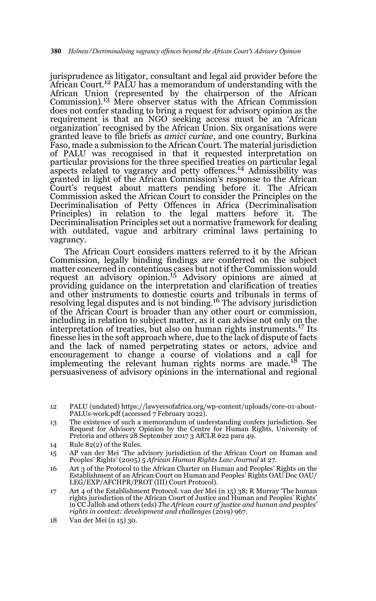jurisprudence as litigator, consultant and legal aid provider before the African Court.<sup>12</sup> PALU has a memorandum of understanding with the African Union (represented by the chairperson of the African Commission).13 Mere observer status with the African Commission does not confer standing to bring a request for advisory opinion as the requirement is that an NGO seeking access must be an 'African organization' recognised by the African Union. Six organisations were granted leave to file briefs as *amici curiae*, and one country, Burkina Faso, made a submission to the African Court. The material jurisdiction of PALU was recognised in that it requested interpretation on particular provisions for the three specified treaties on particular legal aspects related to vagrancy and petty offences.14 Admissibility was granted in light of the African Commission's response to the African Court's request about matters pending before it. The African Commission asked the African Court to consider the Principles on the Decriminalisation of Petty Offences in Africa (Decriminalisation Principles) in relation to the legal matters before it. The Decriminalisation Principles set out a normative framework for dealing with outdated, vague and arbitrary criminal laws pertaining to vagrancy.

The African Court considers matters referred to it by the African Commission, legally binding findings are conferred on the subject matter concerned in contentious cases but not if the Commission would request an advisory opinion.15 Advisory opinions are aimed at providing guidance on the interpretation and clarification of treaties and other instruments to domestic courts and tribunals in terms of resolving legal disputes and is not binding.<sup>16</sup> The advisory jurisdiction of the African Court is broader than any other court or commission, including in relation to subject matter, as it can advise not only on the interpretation of treaties, but also on human rights instruments.17 Its finesse lies in the soft approach where, due to the lack of dispute of facts and the lack of named perpetrating states or actors, advice and encouragement to change a course of violations and a call for<br>implementing the relevant human rights norms are made.<sup>18</sup> The persuasiveness of advisory opinions in the international and regional

- 13 The existence of such a memorandum of understanding confers jurisdiction. See Request for Advisory Opinion by the Centre for Human Rights, University of Pretoria and others 28 September 2017 3 AfCLR 622 para 49.
- 14 Rule 82(2) of the Rules.
- 15 AP van der Mei 'The advisory jurisdiction of the African Court on Human and Peoples' Rights' (2005) 5 *African Human Rights Law Journal* at 27.
- 16 Art 3 of the Protocol to the African Charter on Human and Peoples' Rights on the Establishment of an African Court on Human and Peoples' Rights OAU Doc OAU/ LEG/EXP/AFCHPR/PROT (III) Court Protocol).
- 17 Art 4 of the Establishment Protocol. van der Mei (n 15) 38; R Murray 'The human rights jurisdiction of the African Court of Justice and Human and Peoples' Rights' in CC Jalloh and others (eds) *The African court of justice and human and peoples' rights in context: development and challenges* (2019) 967.
- 18 Van der Mei (n 15) 30.

<sup>12</sup> PALU (undated) https://lawyersofafrica.org/wp-content/uploads/core-01-about-PALUs-work.pdf (accessed 7 February 2022).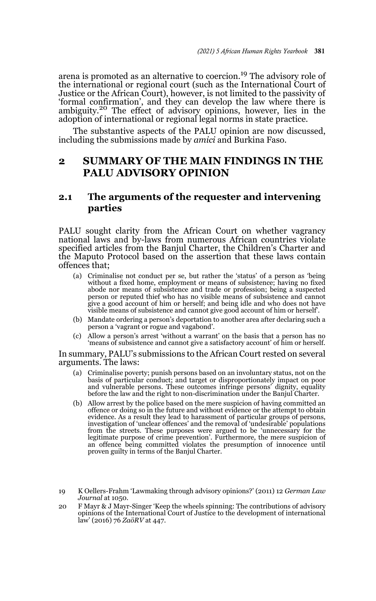arena is promoted as an alternative to coercion.19 The advisory role of the international or regional court (such as the International Court of Justice or the African Court), however, is not limited to the passivity of 'formal confirmation', and they can develop the law where there is ambiguity.<sup>20</sup> The effect of advisory opinions, however, lies in the adoption of international or regional legal norms in state practice.

The substantive aspects of the PALU opinion are now discussed, including the submissions made by *amici* and Burkina Faso.

# **2 SUMMARY OF THE MAIN FINDINGS IN THE PALU ADVISORY OPINION**

### **2.1 The arguments of the requester and intervening parties**

PALU sought clarity from the African Court on whether vagrancy national laws and by-laws from numerous African countries violate specified articles from the Banjul Charter, the Children's Charter and the Maputo Protocol based on the assertion that these laws contain offences that;

- (a) Criminalise not conduct per se, but rather the 'status' of a person as 'being without a fixed home, employment or means of subsistence; having no fixed abode nor means of subsistence and trade or profession; being a suspected person or reputed thief who has no visible means of subsistence and cannot give a good account of him or herself; and being idle and who does not have visible means of subsistence and cannot give good account of him or herself'.
- (b) Mandate ordering a person's deportation to another area after declaring such a person a 'vagrant or rogue and vagabond'.
- (c) Allow a person's arrest 'without a warrant' on the basis that a person has no 'means of subsistence and cannot give a satisfactory account' of him or herself.

In summary, PALU's submissions to the African Court rested on several arguments. The laws:

- (a) Criminalise poverty; punish persons based on an involuntary status, not on the basis of particular conduct; and target or disproportionately impact on poor and vulnerable persons. These outcomes infringe persons' dignity, equality before the law and the right to non-discrimination under the Banjul Charter.
- (b) Allow arrest by the police based on the mere suspicion of having committed an offence or doing so in the future and without evidence or the attempt to obtain evidence. As a result they lead to harassment of particular groups of persons, investigation of 'unclear offences' and the removal of 'undesirable' populations from the streets. These purposes were argued to be 'unnecessary for the legitimate purpose of crime prevention'. Furthermore, the mere suspicion of an offence being committed violates the presumption of innocence until proven guilty in terms of the Banjul Charter.

19 K Oellers-Frahm 'Lawmaking through advisory opinions?' (2011) 12 *German Law Journal* at 1050.

20 F Mayr & J Mayr-Singer 'Keep the wheels spinning: The contributions of advisory opinions of the International Court of Justice to the development of international law' (2016) 76 *ZaöRV* at 447.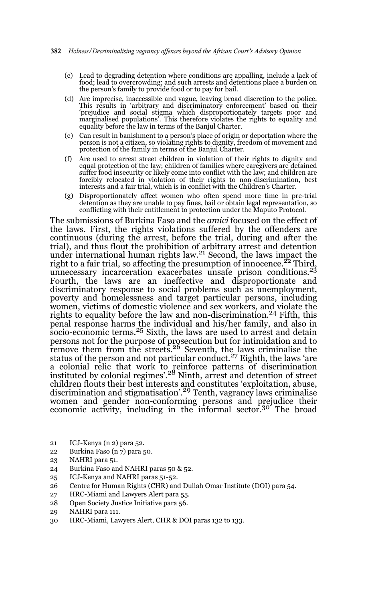- (c) Lead to degrading detention where conditions are appalling, include a lack of food; lead to overcrowding; and such arrests and detentions place a burden on the person's family to provide food or to pay for bail.
- (d) Are imprecise, inaccessible and vague, leaving broad discretion to the police. This results in 'arbitrary and discriminatory enforcement' based on their 'prejudice and social stigma which disproportionately targets poor and marginalised populations'. This therefore violates the rights to equality and equality before the law in terms of the Banjul Charter.
- (e) Can result in banishment to a person's place of origin or deportation where the person is not a citizen, so violating rights to dignity, freedom of movement and protection of the family in terms of the Banjul Charter.
- (f) Are used to arrest street children in violation of their rights to dignity and equal protection of the law; children of families where caregivers are detained suffer food insecurity or likely come into conflict with the law; and children are forcibly relocated in violation of their rights to non-discrimination, best interests and a fair trial, which is in conflict with the Children's Charter.
- (g) Disproportionately affect women who often spend more time in pre-trial detention as they are unable to pay fines, bail or obtain legal representation, so conflicting with their entitlement to protection under the Maputo Protocol.

The submissions of Burkina Faso and the *amici* focused on the effect of the laws. First, the rights violations suffered by the offenders are continuous (during the arrest, before the trial, during and after the trial), and thus flout the prohibition of arbitrary arrest and detention<br>under international human rights law.<sup>21</sup> Second, the laws impact the right to a fair trial, so affecting the presumption of innocence.<sup> $22$ </sup> Third, unnecessary incarceration exacerbates unsafe prison conditions.<sup>23</sup> Fourth, the laws are an ineffective and disproportionate and discriminatory response to social problems such as unemployment, poverty and homelessness and target particular persons, including women, victims of domestic violence and sex workers, and violate the rights to equality before the law and non-discrimination.<sup>24</sup> Fifth, this penal response harms the individual and his/her family, and also in<br>socio-economic terms.<sup>25</sup> Sixth, the laws are used to arrest and detain persons not for the purpose of prosecution but for intimidation and to remove them from the streets.26 Seventh, the laws criminalise the status of the person and not particular conduct.<sup>27</sup> Eighth, the laws 'are a colonial relic that work to reinforce patterns of discrimination instituted by colonial regimes'.28 Ninth, arrest and detention of street children flouts their best interests and constitutes 'exploitation, abuse,<br>discrimination and stigmatisation'.<sup>29</sup> Tenth, vagrancy laws criminalise women and gender non-conforming persons and prejudice their economic activity, including in the informal sector.<sup>30</sup> The broad

- 21 ICJ-Kenya (n 2) para 52.
- 22 Burkina Faso (n 7) para 50.
- 23 NAHRI para 51.
- 24 Burkina Faso and NAHRI paras 50 & 52.
- 25 ICJ-Kenya and NAHRI paras 51-52.
- 26 Centre for Human Rights (CHR) and Dullah Omar Institute (DOI) para 54.
- 27 HRC-Miami and Lawyers Alert para 55.
- 28 Open Society Justice Initiative para 56.
- 29 NAHRI para 111.
- 30 HRC-Miami, Lawyers Alert, CHR & DOI paras 132 to 133.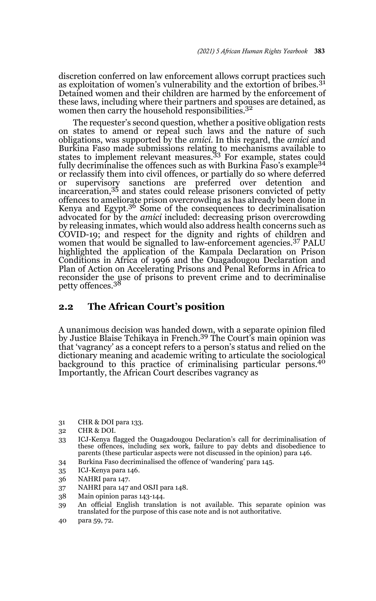discretion conferred on law enforcement allows corrupt practices such as exploitation of women's vulnerability and the extortion of bribes.<sup>31</sup> Detained women and their children are harmed by the enforcement of these laws, including where their partners and spouses are detained, as women then carry the household responsibilities.<sup>32</sup>

The requester's second question, whether a positive obligation rests on states to amend or repeal such laws and the nature of such obligations, was supported by the *amici*. In this regard, the *amici* and Burkina Faso made submissions relating to mechanisms available to states to implement relevant measures.33 For example, states could fully decriminalise the offences such as with Burkina Faso's example<sup>34</sup> or reclassify them into civil offences, or partially do so where deferred or supervisory sanctions are preferred over detention and incarceration,35 and states could release prisoners convicted of petty offences to ameliorate prison overcrowding as has already been done in Kenya and Egypt. $3^6$  Some of the consequences to decriminalisation advocated for by the *amici* included: decreasing prison overcrowding by releasing inmates, which would also address health concerns such as COVID-19; and respect for the dignity and rights of children and women that would be signalled to law-enforcement agencies.<sup>37</sup> PALU highlighted the application of the Kampala Declaration on Prison Conditions in Africa of 1996 and the Ouagadougou Declaration and Plan of Action on Accelerating Prisons and Penal Reforms in Africa to reconsider the use of prisons to prevent crime and to decriminalise petty offences.<sup>38</sup>

#### **2.2 The African Court's position**

A unanimous decision was handed down, with a separate opinion filed by Justice Blaise Tchikaya in French.39 The Court's main opinion was that 'vagrancy' as a concept refers to a person's status and relied on the dictionary meaning and academic writing to articulate the sociological background to this practice of criminalising particular persons.40 Importantly, the African Court describes vagrancy as

- 31 CHR & DOI para 133.
- 32 CHR & DOI.
- 33 ICJ-Kenya flagged the Ouagadougou Declaration's call for decriminalisation of these offences, including sex work, failure to pay debts and disobedience to parents (these particular aspects were not discussed in the opinion) para 146.
- 34 Burkina Faso decriminalised the offence of 'wandering' para 145.
- 35 ICJ-Kenya para 146.
- 36 NAHRI para 147.
- 37 NAHRI para 147 and OSJI para 148.
- 38 Main opinion paras 143-144.
- 39 An official English translation is not available. This separate opinion was translated for the purpose of this case note and is not authoritative.
- 40 para 59, 72.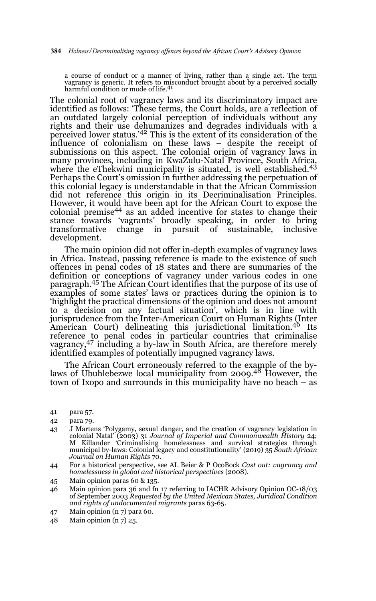a course of conduct or a manner of living, rather than a single act. The term vagrancy is generic. It refers to misconduct brought about by a perceived socially harmful condition or mode of life.<sup>41</sup>

The colonial root of vagrancy laws and its discriminatory impact are identified as follows: 'These terms, the Court holds, are a reflection of an outdated largely colonial perception of individuals without any rights and their use dehumanizes and degrades individuals with a perceived lower status.'42 This is the extent of its consideration of the influence of colonialism on these laws – despite the receipt of submissions on this aspect. The colonial origin of vagrancy laws in many provinces, including in KwaZulu-Natal Province, South Africa, where the eThekwini municipality is situated, is well established.<sup>43</sup> Perhaps the Court's omission in further addressing the perpetuation of this colonial legacy is understandable in that the African Commission did not reference this origin in its Decriminalisation Principles. However, it would have been apt for the African Court to expose the colonial premise44 as an added incentive for states to change their stance towards 'vagrants' broadly speaking, in order to bring transformative change in pursuit of sustainable, inclusive development.

The main opinion did not offer in-depth examples of vagrancy laws in Africa. Instead, passing reference is made to the existence of such offences in penal codes of 18 states and there are summaries of the definition or conceptions of vagrancy under various codes in one paragraph.45 The African Court identifies that the purpose of its use of examples of some states' laws or practices during the opinion is to 'highlight the practical dimensions of the opinion and does not amount to a decision on any factual situation', which is in line with jurisprudence from the Inter-American Court on Human Rights (Inter American Court) delineating this jurisdictional limitation.<sup>46</sup> Its reference to penal codes in particular countries that criminalise vagrancy,47 including a by-law in South Africa, are therefore merely identified examples of potentially impugned vagrancy laws.

The African Court erroneously referred to the example of the bylaws of Ubuhlebezwe local municipality from 2009.48 However, the town of Ixopo and surrounds in this municipality have no beach – as

- 43 J Martens 'Polygamy, sexual danger, and the creation of vagrancy legislation in colonial Natal' (2003) 31 *Journal of Imperial and Commonwealth History* 24; M Killander 'Criminalising homelessness and survival strategies through municipal by-laws: Colonial legacy and constitutionality' (2019) 35 *South African Journal on Human Rights* 70.
- 44 For a historical perspective, see AL Beier & P OcoBock *Cast out: vagrancy and homelessness in global and historical perspectives* (2008).
- 45 Main opinion paras 60 & 135.
- 46 Main opinion para 36 and fn 17 referring to IACHR Advisory Opinion OC-18/03 of September 2003 *Requested by the United Mexican States, Juridical Condition and rights of undocumented migrants* paras 63-65.
- 47 Main opinion (n 7) para 60.
- 48 Main opinion (n 7) 25.

<sup>41</sup> para 57.

<sup>42</sup> para 79.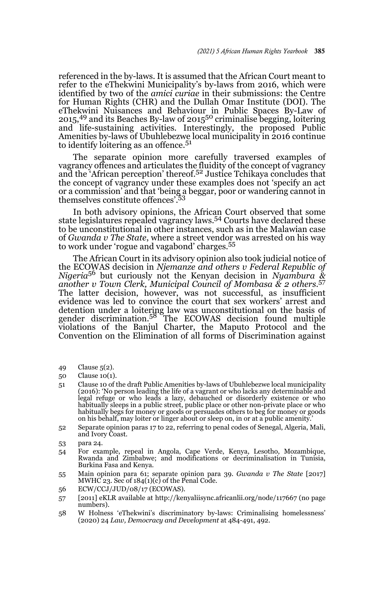referenced in the by-laws. It is assumed that the African Court meant to refer to the eThekwini Municipality's by-laws from 2016, which were identified by two of the *amici curiae* in their submissions: the Centre for Human Rights (CHR) and the Dullah Omar Institute (DOI). The eThekwini Nuisances and Behaviour in Public Spaces By-Law of 2015,<sup>49</sup> and its Beaches By-law of 2015<sup>50</sup> criminalise begging, loitering and life-sustaining activities. Interestingly, the proposed Public Amenities by-laws of Ubuhlebezwe local municipality in 2016 continue to identify loitering as an offence. $5<sup>1</sup>$ 

The separate opinion more carefully traversed examples of vagrancy offences and articulates the fluidity of the concept of vagrancy and the 'African perception' thereof.<sup>52</sup> Justice Tchikaya concludes that the concept of vagrancy under these examples does not 'specify an act or a commission' and that 'being a beggar, poor or wandering cannot in themselves constitute offences'.<sup>53</sup>

In both advisory opinions, the African Court observed that some state legislatures repealed vagrancy laws.54 Courts have declared these to be unconstitutional in other instances, such as in the Malawian case of *Gwanda v The State*, where a street vendor was arrested on his way to work under 'rogue and vagabond' charges*.* 55

The African Court in its advisory opinion also took judicial notice of the ECOWAS decision in *Njemanze and others v Federal Republic of Nigeria*<sup>56</sup> but curiously not the Kenyan decision in *Nyambura & another v Town Clerk, Municipal Council of Mombasa & 2 others.*<sup>57</sup> The latter decision, however, was not successful, as insufficient evidence was led to convince the court that sex workers' arrest and detention under a loitering law was unconstitutional on the basis of gender discrimination.58 The ECOWAS decision found multiple violations of the Banjul Charter, the Maputo Protocol and the Convention on the Elimination of all forms of Discrimination against

- 49 Clause 5(2).
- 50 Clause 10(1).
- 51 Clause 10 of the draft Public Amenities by-laws of Ubuhlebezwe local municipality (2016): 'No person leading the life of a vagrant or who lacks any determinable and legal refuge or who leads a lazy, debauched or disorderly existence or who habitually sleeps in a public street, public place or other non-private place or who habitually begs for money or goods or persuades others to beg for money or goods on his behalf, may loiter or linger about or sleep on, in or at a public amenity.'
- 52 Separate opinion paras 17 to 22, referring to penal codes of Senegal, Algeria, Mali, and Ivory Coast.
- 53 para 24.
- 54 For example, repeal in Angola, Cape Verde, Kenya, Lesotho, Mozambique, Rwanda and Zimbabwe; and modifications or decriminalisation in Tunisia, Burkina Fasa and Kenya.
- 55 Main opinion para 61; separate opinion para 39. *Gwanda v The State* [2017] MWHC 23. Sec of  $184(1)(c)$  of the Penal Code.
- 56 ECW/CCJ/JUD/08/17 (ECOWAS).
- 57 [2011] eKLR available at http://kenyaliisync.africanlii.org/node/117667 (no page numbers).
- 58 W Holness 'eThekwini's discriminatory by-laws: Criminalising homelessness' (2020) 24 *Law, Democracy and Development* at 484-491, 492.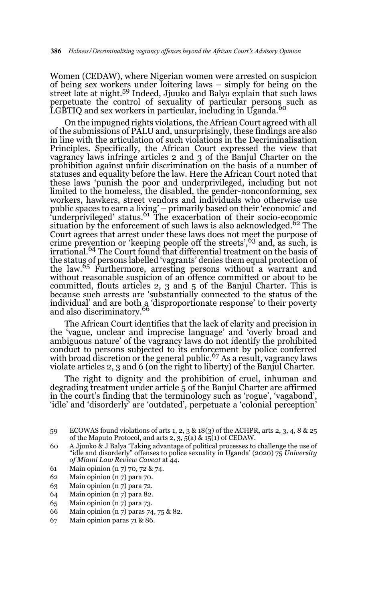Women (CEDAW), where Nigerian women were arrested on suspicion of being sex workers under loitering laws – simply for being on the street late at night.59 Indeed, Jjuuko and Balya explain that such laws perpetuate the control of sexuality of particular persons such as LGBTIQ and sex workers in particular, including in Uganda.<sup>60</sup>

On the impugned rights violations, the African Court agreed with all of the submissions of PALU and, unsurprisingly, these findings are also in line with the articulation of such violations in the Decriminalisation Principles. Specifically, the African Court expressed the view that vagrancy laws infringe articles 2 and 3 of the Banjul Charter on the prohibition against unfair discrimination on the basis of a number of statuses and equality before the law. Here the African Court noted that these laws 'punish the poor and underprivileged, including but not limited to the homeless, the disabled, the gender-nonconforming, sex workers, hawkers, street vendors and individuals who otherwise use public spaces to earn a living' – primarily based on their 'economic' and<br>'underprivileged' status.<sup>61</sup> The exacerbation of their socio-economic situation by the enforcement of such laws is also acknowledged.<sup>62</sup> The Court agrees that arrest under these laws does not meet the purpose of crime prevention or 'keeping people off the streets',  $63$  and, as such, is irrational.64 The Court found that differential treatment on the basis of the status of persons labelled 'vagrants' denies them equal protection of the law.65 Furthermore, arresting persons without a warrant and without reasonable suspicion of an offence committed or about to be committed, flouts articles 2, 3 and 5 of the Banjul Charter. This is because such arrests are 'substantially connected to the status of the individual' and are both a 'disproportionate response' to their poverty<br>and also discriminatory.<sup>66</sup>

The African Court identifies that the lack of clarity and precision in the 'vague, unclear and imprecise language' and 'overly broad and ambiguous nature' of the vagrancy laws do not identify the prohibited conduct to persons subjected to its enforcement by police conferred with broad discretion or the general public.<sup>67</sup> As a result, vagrancy laws violate articles 2, 3 and 6 (on the right to liberty) of the Banjul Charter.

The right to dignity and the prohibition of cruel, inhuman and degrading treatment under article 5 of the Banjul Charter are affirmed in the court's finding that the terminology such as 'rogue', 'vagabond', 'idle' and 'disorderly' are 'outdated', perpetuate a 'colonial perception'

- 61 Main opinion (n 7) 70, 72 & 74.
- 62 Main opinion (n 7) para 70.
- 63 Main opinion (n 7) para 72.
- 64 Main opinion (n 7) para 82.
- 65 Main opinion (n 7) para 73.
- 66 Main opinion (n 7) paras 74, 75 & 82.
- 67 Main opinion paras 71 & 86.

<sup>59</sup> ECOWAS found violations of arts 1, 2, 3 & 18(3) of the ACHPR, arts 2, 3, 4, 8 & 25 of the Maputo Protocol, and arts 2, 3, 5(a) & 15(1) of CEDAW.

<sup>60</sup> A Jjuuko & J Balya 'Taking advantage of political processes to challenge the use of "idle and disorderly" offenses to police sexuality in Uganda' (2020) 75 *University of Miami Law Review Caveat* at 44.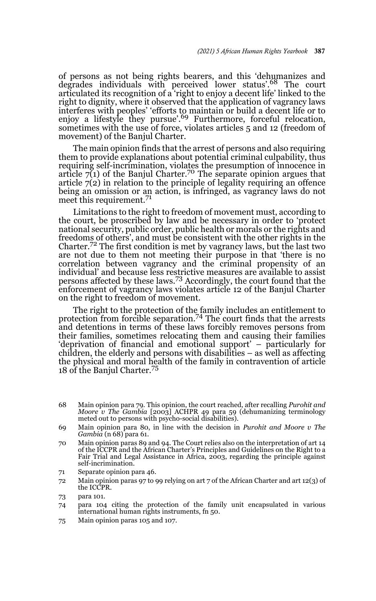of persons as not being rights bearers, and this 'dehumanizes and degrades individuals with perceived lower status'.68 The court articulated its recognition of a 'right to enjoy a decent life' linked to the right to dignity, where it observed that the application of vagrancy laws interferes with peoples' 'efforts to maintain or build a decent life or to enjoy a lifestyle they pursue'.<sup>69</sup> Furthermore, forceful relocation, sometimes with the use of force, violates articles 5 and 12 (freedom of movement) of the Banjul Charter.

The main opinion finds that the arrest of persons and also requiring them to provide explanations about potential criminal culpability, thus requiring self-incrimination, violates the presumption of innocence in article  $7(1)$  of the Banjul Charter.<sup>70</sup> The separate opinion argues that article  $7(2)$  in relation to the principle of legality requiring an offence being an omission or an action, is infringed, as vagrancy laws do not meet this requirement.<sup>71</sup>

Limitations to the right to freedom of movement must, according to the court, be proscribed by law and be necessary in order to 'protect national security, public order, public health or morals or the rights and freedoms of others', and must be consistent with the other rights in the Charter.72 The first condition is met by vagrancy laws, but the last two are not due to them not meeting their purpose in that 'there is no correlation between vagrancy and the criminal propensity of an individual' and because less restrictive measures are available to assist persons affected by these laws.73 Accordingly, the court found that the enforcement of vagrancy laws violates article 12 of the Banjul Charter on the right to freedom of movement.

The right to the protection of the family includes an entitlement to protection from forcible separation.74 The court finds that the arrests and detentions in terms of these laws forcibly removes persons from their families, sometimes relocating them and causing their families 'deprivation of financial and emotional support' – particularly for children, the elderly and persons with disabilities – as well as affecting the physical and moral health of the family in contravention of article 18 of the Banjul Charter.<sup>75</sup>

- 68 Main opinion para 79. This opinion, the court reached, after recalling *Purohit and Moore v The Gambia* [2003] ACHPR 49 para 59 (dehumanizing terminology meted out to persons with psycho-social disabilities).
- 69 Main opinion para 80, in line with the decision in *Purohit and Moore v The Gambia* (n 68) para 61.
- 70 Main opinion paras 89 and 94. The Court relies also on the interpretation of art 14 of the ICCPR and the African Charter's Principles and Guidelines on the Right to a Fair Trial and Legal Assistance in Africa, 2003, regarding the principle against self-incrimination.
- 71 Separate opinion para 46.
- 72 Main opinion paras 97 to 99 relying on art 7 of the African Charter and art 12(3) of the ICCPR.
- 73 para 101.
- 74 para 104 citing the protection of the family unit encapsulated in various international human rights instruments, fn 50.
- 75 Main opinion paras 105 and 107.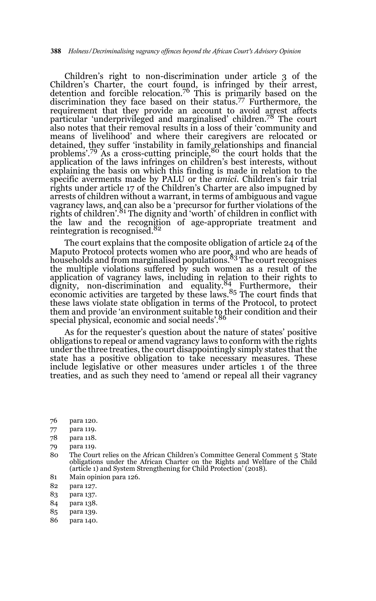Children's right to non-discrimination under article 3 of the Children's Charter, the court found, is infringed by their arrest, detention and forcible relocation.76 This is primarily based on the discrimination they face based on their status.77 Furthermore, the requirement that they provide an account to avoid arrest affects particular 'underprivileged and marginalised' children.78 The court also notes that their removal results in a loss of their 'community and means of livelihood' and where their caregivers are relocated or detained, they suffer 'instability in family relationships and financial<br>problems'.<sup>79</sup> As a cross-cutting principle,<sup>80</sup> the court holds that the application of the laws infringes on children's best interests, without explaining the basis on which this finding is made in relation to the specific averments made by PALU or the *amici.* Children's fair trial rights under article 17 of the Children's Charter are also impugned by arrests of children without a warrant, in terms of ambiguous and vague vagrancy laws, and can also be a 'precursor for further violations of the rights of children'.<sup>81</sup> The dignity and 'worth' of children in conflict with the law and the recognition of age-appropriate treatment and reintegration is recognised.<sup>82</sup>

The court explains that the composite obligation of article 24 of the Maputo Protocol protects women who are poor, and who are heads of<br>households and from marginalised populations.<sup>83</sup> The court recognises the multiple violations suffered by such women as a result of the application of vagrancy laws, including in relation to their rights to dignity, non-discrimination and equality.<sup>84</sup> Furthermore, their economic activities are targeted by these laws.<sup>85</sup> The court finds that these laws violate state obligation in terms of the Protocol, to protect them and provide 'an environment suitable to their condition and their special physical, economic and social needs'.<sup>86</sup>

As for the requester's question about the nature of states' positive obligations to repeal or amend vagrancy laws to conform with the rights under the three treaties, the court disappointingly simply states that the state has a positive obligation to take necessary measures. These include legislative or other measures under articles 1 of the three treaties, and as such they need to 'amend or repeal all their vagrancy

- 77 para 119.
- 78 para 118.
- 79 para 119.
- 80 The Court relies on the African Children's Committee General Comment 5 'State obligations under the African Charter on the Rights and Welfare of the Child (article 1) and System Strengthening for Child Protection' (2018).
- 81 Main opinion para 126.
- 82 para 127.
- 83 para 137.
- 84 para 138.
- 85 para 139.
- 86 para 140.

<sup>76</sup> para 120.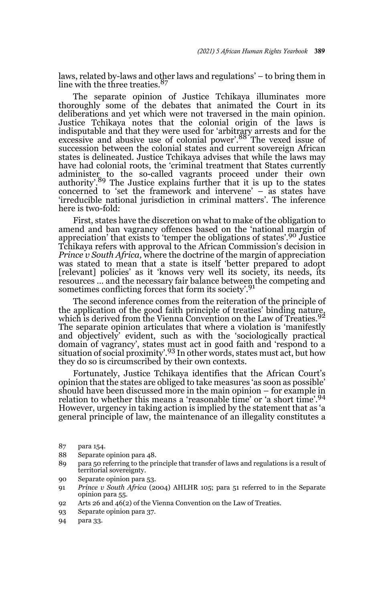laws, related by-laws and other laws and regulations' – to bring them in line with the three treaties. $\delta$ 

The separate opinion of Justice Tchikaya illuminates more thoroughly some of the debates that animated the Court in its deliberations and yet which were not traversed in the main opinion. Justice Tchikaya notes that the colonial origin of the laws is indisputable and that they were used for 'arbitrary arrests and for the excessive and abusive use of colonial power'.88 The vexed issue of succession between the colonial states and current sovereign African states is delineated. Justice Tchikaya advises that while the laws may have had colonial roots, the 'criminal treatment that States currently administer to the so-called vagrants proceed under their own authority'.<sup>89</sup> The Justice explains further that it is up to the states concerned to 'set the framework and intervene' – as states have 'irreducible national jurisdiction in criminal matters'. The inference here is two-fold:

First, states have the discretion on what to make of the obligation to amend and ban vagrancy offences based on the 'national margin of appreciation' that exists to 'temper the obligations of states'.90 Justice Tchikaya refers with approval to the African Commission's decision in *Prince v South Africa,* where the doctrine of the margin of appreciation was stated to mean that a state is itself 'better prepared to adopt [relevant] policies' as it 'knows very well its society, its needs, its resources … and the necessary fair balance between the competing and sometimes conflicting forces that form its society'.<sup>91</sup>

The second inference comes from the reiteration of the principle of the application of the good faith principle of treaties' binding nature,<br>which is derived from the Vienna Convention on the Law of Treaties.<sup>92</sup> The separate opinion articulates that where a violation is 'manifestly and objectively' evident, such as with the 'sociologically practical domain of vagrancy', states must act in good faith and 'respond to a<br>situation of social proximity'.<sup>93</sup> In other words, states must act, but how they do so is circumscribed by their own contexts.

Fortunately, Justice Tchikaya identifies that the African Court's opinion that the states are obliged to take measures 'as soon as possible' should have been discussed more in the main opinion – for example in relation to whether this means a 'reasonable time' or 'a short time'.<sup>94</sup> However, urgency in taking action is implied by the statement that as 'a general principle of law, the maintenance of an illegality constitutes a

- 88 Separate opinion para 48.
- 89 para 50 referring to the principle that transfer of laws and regulations is a result of territorial sovereignty.
- 90 Separate opinion para 53.
- 91 *Prince v South Africa* (2004) AHLHR 105; para 51 referred to in the Separate opinion para 55.
- 92 Arts 26 and 46(2) of the Vienna Convention on the Law of Treaties.
- 93 Separate opinion para 37.
- 94 para 33.

<sup>87</sup> para 154.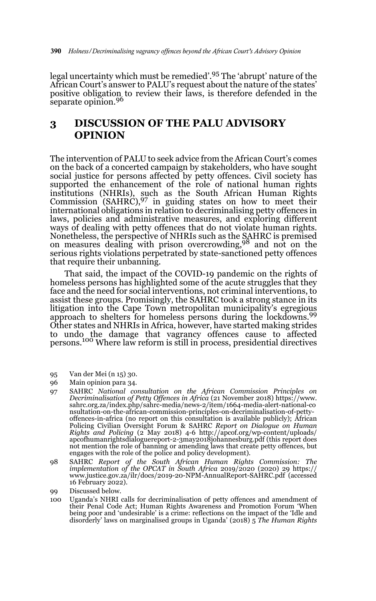legal uncertainty which must be remedied'.95 The 'abrupt' nature of the African Court's answer to PALU's request about the nature of the states' positive obligation to review their laws, is therefore defended in the separate opinion.<sup>96</sup>

# **3 DISCUSSION OF THE PALU ADVISORY OPINION**

The intervention of PALU to seek advice from the African Court's comes on the back of a concerted campaign by stakeholders, who have sought social justice for persons affected by petty offences. Civil society has supported the enhancement of the role of national human rights institutions (NHRIs), such as the South African Human Rights Commission  $(SAHRC),<sup>97</sup>$  in guiding states on how to meet their international obligations in relation to decriminalising petty offences in laws, policies and administrative measures, and exploring different ways of dealing with petty offences that do not violate human rights. Nonetheless, the perspective of NHRIs such as the SAHRC is premised on measures dealing with prison overcrowding,98 and not on the serious rights violations perpetrated by state-sanctioned petty offences that require their unbanning.

That said, the impact of the COVID-19 pandemic on the rights of homeless persons has highlighted some of the acute struggles that they face and the need for social interventions, not criminal interventions, to assist these groups. Promisingly, the SAHRC took a strong stance in its litigation into the Cape Town metropolitan municipality's egregious approach to shelters for homeless persons during the lockdowns.<sup>99</sup> Other states and NHRIs in Africa, however, have started making strides to undo the damage that vagrancy offences cause to affected persons.100 Where law reform is still in process, presidential directives

- 95 Van der Mei (n 15) 30.
- 96 Main opinion para 34.
- 97 SAHRC *National consultation on the African Commission Principles on Decriminalisation of Petty Offences in Africa* (21 November 2018) https://www. sahrc.org.za/index.php/sahrc-media/news-2/item/1664-media-alert-national-co nsultation-on-the-african-commission-principles-on-decriminalisation-of-pettyoffences-in-africa (no report on this consultation is available publicly); African Policing Civilian Oversight Forum & SAHRC *Report on Dialogue on Human Rights and Policing* (2 May 2018) 4-6 http://apcof.org/wp-content/uploads/ apcofhumanrightsdialoguereport-2-3may2018johannesburg.pdf (this report does not mention the role of banning or amending laws that create petty offences, but engages with the role of the police and policy development).
- 98 SAHRC *Report of the South African Human Rights Commission: The implementation of the OPCAT in South Africa* 2019/2020 (2020) 29 https:// www.justice.gov.za/ilr/docs/2019-20-NPM-AnnualReport-SAHRC.pdf (accessed 16 February 2022).
- 99 Discussed below.
- 100 Uganda's NHRI calls for decriminalisation of petty offences and amendment of their Penal Code Act; Human Rights Awareness and Promotion Forum 'When being poor and 'undesirable' is a crime: reflections on the impact of the 'Idle and disorderly' laws on marginalised groups in Uganda' (2018) 5 *The Human Rights*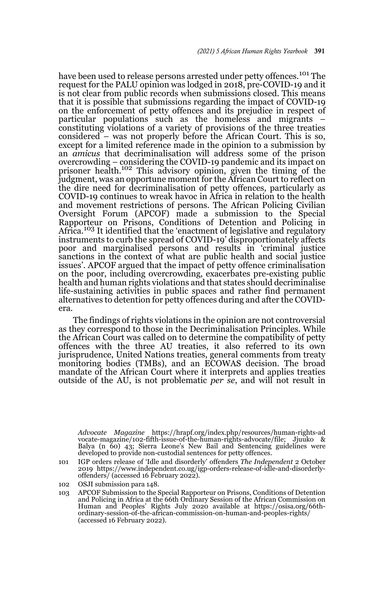have been used to release persons arrested under petty offences.<sup>101</sup> The request for the PALU opinion was lodged in 2018, pre-COVID-19 and it is not clear from public records when submissions closed. This means that it is possible that submissions regarding the impact of COVID-19 on the enforcement of petty offences and its prejudice in respect of particular populations such as the homeless and migrants – constituting violations of a variety of provisions of the three treaties considered – was not properly before the African Court. This is so, except for a limited reference made in the opinion to a submission by an *amicus* that decriminalisation will address some of the prison overcrowding – considering the COVID-19 pandemic and its impact on prisoner health.102 This advisory opinion, given the timing of the judgment, was an opportune moment for the African Court to reflect on the dire need for decriminalisation of petty offences, particularly as COVID-19 continues to wreak havoc in Africa in relation to the health and movement restrictions of persons. The African Policing Civilian Oversight Forum (APCOF) made a submission to the Special Rapporteur on Prisons, Conditions of Detention and Policing in Africa.<sup>103</sup> It identified that the 'enactment of legislative and regulatory instruments to curb the spread of COVID-19' disproportionately affects poor and marginalised persons and results in 'criminal justice sanctions in the context of what are public health and social justice issues'. APCOF argued that the impact of petty offence criminalisation on the poor, including overcrowding, exacerbates pre-existing public health and human rights violations and that states should decriminalise life-sustaining activities in public spaces and rather find permanent alternatives to detention for petty offences during and after the COVIDera.

The findings of rights violations in the opinion are not controversial as they correspond to those in the Decriminalisation Principles. While the African Court was called on to determine the compatibility of petty offences with the three AU treaties, it also referred to its own jurisprudence, United Nations treaties, general comments from treaty monitoring bodies (TMBs), and an ECOWAS decision. The broad mandate of the African Court where it interprets and applies treaties outside of the AU, is not problematic *per se*, and will not result in

100 *Advocate Magazine* https://hrapf.org/index.php/resources/human-rights-ad vocate-magazine/102-fifth-issue-of-the-human-rights-advocate/file; Jjuuko & Balya (n 60) 43; Sierra Leone's New Bail and Sentencing guidelines were developed to provide non-custodial sentences for petty offences.

- 101 IGP orders release of 'Idle and disorderly' offenders *The Independent* 2 October 2019 https://www.independent.co.ug/igp-orders-release-of-idle-and-disorderlyoffenders/ (accessed 16 February 2022).
- 102 OSJI submission para 148.
- 103 APCOF Submission to the Special Rapporteur on Prisons, Conditions of Detention and Policing in Africa at the 66th Ordinary Session of the African Commission on Human and Peoples' Rights July 2020 available at https://osisa.org/66thordinary-session-of-the-african-commission-on-human-and-peoples-rights/ (accessed 16 February 2022).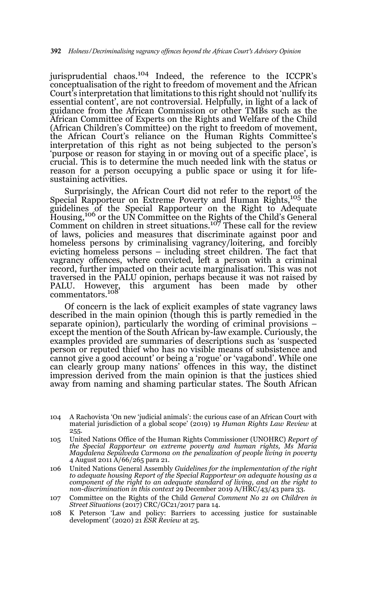jurisprudential chaos.104 Indeed, the reference to the ICCPR's conceptualisation of the right to freedom of movement and the African Court's interpretation that limitations to this right should not 'nullify its essential content', are not controversial. Helpfully, in light of a lack of guidance from the African Commission or other TMBs such as the African Committee of Experts on the Rights and Welfare of the Child (African Children's Committee) on the right to freedom of movement, the African Court's reliance on the Human Rights Committee's interpretation of this right as not being subjected to the person's 'purpose or reason for staying in or moving out of a specific place', is crucial. This is to determine the much needed link with the status or reason for a person occupying a public space or using it for lifesustaining activities.

Surprisingly, the African Court did not refer to the report of the Special Rapporteur on Extreme Poverty and Human Rights,<sup>105</sup> the guidelines of the Special Rapporteur on the Right to Adequate Housing,<sup>106</sup> or the UN Committee on the Rights of the Child's General Comment on children in street situations.107 These call for the review of laws, policies and measures that discriminate against poor and homeless persons by criminalising vagrancy/loitering, and forcibly evicting homeless persons – including street children. The fact that vagrancy offences, where convicted, left a person with a criminal record, further impacted on their acute marginalisation. This was not traversed in the PALU opinion, perhaps because it was not raised by this argument has been made by other PALU. However, commentators.<sup>108</sup>

Of concern is the lack of explicit examples of state vagrancy laws described in the main opinion (though this is partly remedied in the separate opinion), particularly the wording of criminal provisions – except the mention of the South African by-law example. Curiously, the examples provided are summaries of descriptions such as 'suspected person or reputed thief who has no visible means of subsistence and cannot give a good account' or being a 'rogue' or 'vagabond'. While one can clearly group many nations' offences in this way, the distinct impression derived from the main opinion is that the justices shied away from naming and shaming particular states. The South African

- 107 Committee on the Rights of the Child *General Comment No 21 on Children in Street Situations* (2017) CRC/GC21/2017 para 14.
- 108 K Peterson 'Law and policy: Barriers to accessing justice for sustainable development' (2020) 21 *ESR Review* at 25.

<sup>104</sup> A Rachovista 'On new 'judicial animals': the curious case of an African Court with material jurisdiction of a global scope' (2019) 19 *Human Rights Law Review* at 255.

<sup>105</sup> United Nations Office of the Human Rights Commissioner (UNOHRC) *Report of the Special Rapporteur on extreme poverty and human rights, Ms Maria Magdalena Sepúlveda Carmona on the penalization of people living in poverty* 4 August 2011 A/66/265 para 21.

<sup>106</sup> United Nations General Assembly *Guidelines for the implementation of the right to adequate housing Report of the Special Rapporteur on adequate housing as a component of the right to an adequate standard of living, and on the right to non-discrimination in this context* 29 December 2019 A/HRC/43/43 para 33.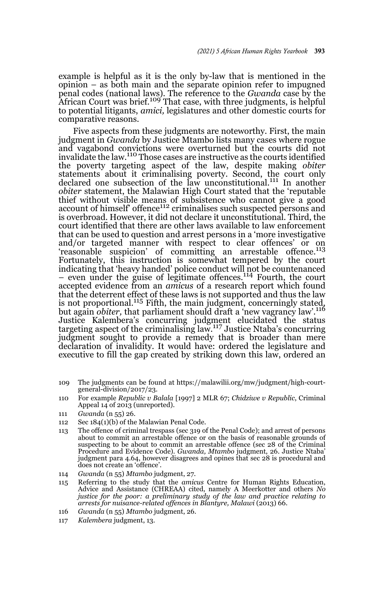example is helpful as it is the only by-law that is mentioned in the opinion – as both main and the separate opinion refer to impugned penal codes (national laws). The reference to the *Gwanda* case by the African Court was brief.<sup>109</sup> That case, with three judgments, is helpful to potential litigants, *amici,* legislatures and other domestic courts for comparative reasons.

Five aspects from these judgments are noteworthy. First, the main judgment in *Gwanda* by Justice Mtambo lists many cases where rogue and vagabond convictions were overturned but the courts did not invalidate the law.110 Those cases are instructive as the courts identified the poverty targeting aspect of the law, despite making *obiter* statements about it criminalising poverty. Second, the court only declared one subsection of the law unconstitutional.<sup>111</sup> In another *obiter* statement, the Malawian High Court stated that the 'reputable thief without visible means of subsistence who cannot give a good account of himself offence<sup>112</sup> criminalises such suspected persons and is overbroad. However, it did not declare it unconstitutional. Third, the court identified that there are other laws available to law enforcement that can be used to question and arrest persons in a 'more investigative and/or targeted manner with respect to clear offences' or on 'reasonable suspicion' of committing an arrestable offence.113 Fortunately, this instruction is somewhat tempered by the court indicating that 'heavy handed' police conduct will not be countenanced – even under the guise of legitimate offences.114 Fourth, the court accepted evidence from an *amicus* of a research report which found that the deterrent effect of these laws is not supported and thus the law is not proportional.<sup>115</sup> Fifth, the main judgment, concerningly stated, but again *obiter,* that parliament should draft a 'new vagrancy law'.116 Justice Kalembera's concurring judgment elucidated the status<br>targeting aspect of the criminalising law.<sup>117</sup> Justice Ntaba's concurring judgment sought to provide a remedy that is broader than mere declaration of invalidity. It would have: ordered the legislature and executive to fill the gap created by striking down this law, ordered an

- 109 The judgments can be found at https://malawilii.org/mw/judgment/high-courtgeneral-division/2017/23.
- 110 For example *Republic v Balala* [1997] 2 MLR 67; *Chidziwe v Republic*, Criminal Appeal 14 of 2013 (unreported).
- 111 *Gwanda* (n 55) 26.
- 112 Sec 184(1)(b) of the Malawian Penal Code.
- 113 The offence of criminal trespass (sec 319 of the Penal Code); and arrest of persons about to commit an arrestable offence or on the basis of reasonable grounds of suspecting to be about to commit an arrestable offence (sec 28 of the Criminal Procedure and Evidence Code). *Gwanda, Mtambo* judgment, 26. Justice Ntaba' judgment para 4.64, however disagrees and opines that sec 28 is procedural and does not create an 'offence'.
- 114 *Gwanda* (n 55) *Mtambo* judgment, 27.
- 115 Referring to the study that the *amicus* Centre for Human Rights Education, Advice and Assistance (CHREAA) cited, namely A Meerkotter and others *No justice for the poor: a preliminary study of the law and practice relating to arrests for nuisance-related offences in Blantyre, Malawi* (2013) 66.
- 116 *Gwanda* (n 55) *Mtambo* judgment, 26.
- 117 *Kalembera* judgment, 13.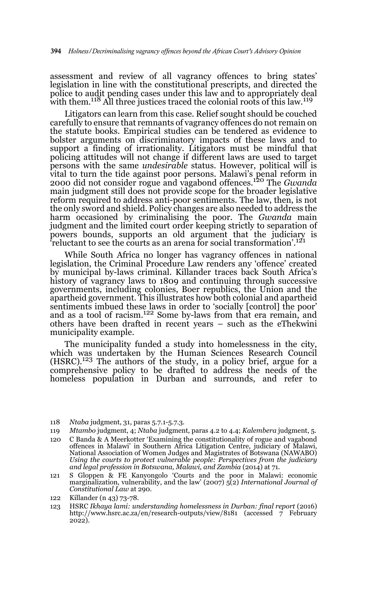assessment and review of all vagrancy offences to bring states' legislation in line with the constitutional prescripts, and directed the police to audit pending cases under this law and to appropriately deal with them.<sup>118</sup> All three justices traced the colonial roots of this law.<sup>119</sup>

Litigators can learn from this case. Relief sought should be couched carefully to ensure that remnants of vagrancy offences do not remain on the statute books. Empirical studies can be tendered as evidence to bolster arguments on discriminatory impacts of these laws and to support a finding of irrationality. Litigators must be mindful that policing attitudes will not change if different laws are used to target persons with the same *undesirable* status. However, political will is vital to turn the tide against poor persons. Malawi's penal reform in 2000 did not consider rogue and vagabond offences.120 The *Gwanda* main judgment still does not provide scope for the broader legislative reform required to address anti-poor sentiments. The law, then, is not the only sword and shield. Policy changes are also needed to address the harm occasioned by criminalising the poor. The *Gwanda* main judgment and the limited court order keeping strictly to separation of powers bounds, supports an old argument that the judiciary is 'reluctant to see the courts as an arena for social transformation'.121

While South Africa no longer has vagrancy offences in national legislation, the Criminal Procedure Law renders any 'offence' created by municipal by-laws criminal. Killander traces back South Africa's history of vagrancy laws to 1809 and continuing through successive governments, including colonies, Boer republics, the Union and the apartheid government. This illustrates how both colonial and apartheid sentiments imbued these laws in order to 'socially [control] the poor'<br>and as a tool of racism.<sup>122</sup> Some by-laws from that era remain, and others have been drafted in recent years – such as the eThekwini municipality example.

The municipality funded a study into homelessness in the city, which was undertaken by the Human Sciences Research Council  $(HSRC)$ .<sup>123</sup> The authors of the study, in a policy brief, argue for a comprehensive policy to be drafted to address the needs of the homeless population in Durban and surrounds, and refer to

- 118 *Ntaba* judgment, 31, paras 5.7.1-5.7.3.
- 119 *Mtambo* judgment, 4; *Ntaba* judgment, paras 4.2 to 4.4; *Kalembera* judgment, 5.
- 120 C Banda & A Meerkotter 'Examining the constitutionality of rogue and vagabond offences in Malawi' in Southern Africa Litigation Centre, judiciary of Malawi, National Association of Women Judges and Magistrates of Botswana (NAWABO) *Using the courts to protect vulnerable people: Perspectives from the judiciary and legal profession in Botswana, Malawi, and Zambia* (2014) at 71.
- 121 S Gloppen & FE Kanyongolo 'Courts and the poor in Malawi: economic marginalization, vulnerability, and the law' (2007) 5(2) *International Journal of Constitutional Law* at 290.
- 122 Killander (n 43) 73-78.
- 123 HSRC *Ikhaya lami: understanding homelessness in Durban: final report* (2016) http://www.hsrc.ac.za/en/research-outputs/view/8181 (accessed 7 February 2022).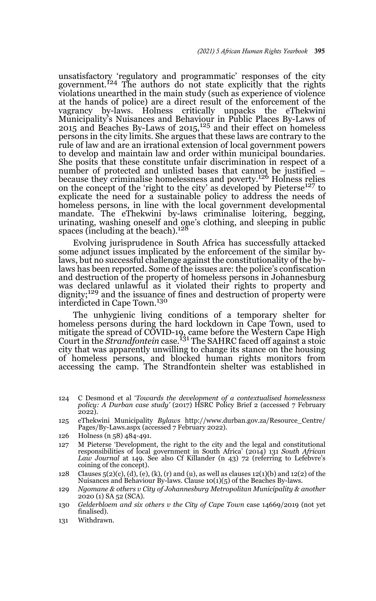unsatisfactory 'regulatory and programmatic' responses of the city<br>government.<sup>124</sup> The authors do not state explicitly that the rights violations unearthed in the main study (such as experience of violence at the hands of police) are a direct result of the enforcement of the vagrancy by-laws. Holness critically unpacks the eThekwini Municipality's Nuisances and Behaviour in Public Places By-Laws of 2015 and Beaches By-Laws of  $2015$ ,  $^{125}$  and their effect on homeless persons in the city limits. She argues that these laws are contrary to the rule of law and are an irrational extension of local government powers to develop and maintain law and order within municipal boundaries. She posits that these constitute unfair discrimination in respect of a number of protected and unlisted bases that cannot be justified – because they criminalise homelessness and poverty.126 Holness relies on the concept of the 'right to the city' as developed by Pieterse<sup>127</sup> to explicate the need for a sustainable policy to address the needs of homeless persons, in line with the local government developmental mandate. The eThekwini by-laws criminalise loitering, begging, urinating, washing oneself and one's clothing, and sleeping in public spaces (including at the beach).<sup>128</sup>

Evolving jurisprudence in South Africa has successfully attacked some adjunct issues implicated by the enforcement of the similar bylaws, but no successful challenge against the constitutionality of the bylaws has been reported. Some of the issues are: the police's confiscation and destruction of the property of homeless persons in Johannesburg was declared unlawful as it violated their rights to property and dignity;<sup>129</sup> and the issuance of fines and destruction of property were interdicted in Cape Town.<sup>130</sup>

The unhygienic living conditions of a temporary shelter for homeless persons during the hard lockdown in Cape Town, used to mitigate the spread of COVID-19, came before the Western Cape High Court in the *Strandfontein* case.131 The SAHRC faced off against a stoic city that was apparently unwilling to change its stance on the housing of homeless persons, and blocked human rights monitors from accessing the camp. The Strandfontein shelter was established in

- 124 C Desmond et al '*Towards the development of a contextualised homelessness policy: A Durban case study'* (2017) HSRC Policy Brief 2 (accessed 7 February 2022).
- 125 eThekwini Municipality *Bylaws* http://www.durban.gov.za/Resource\_Centre/ Pages/By-Laws.aspx (accessed 7 February 2022).
- 126 Holness (n 58) 484-491.
- 127 M Pieterse 'Development, the right to the city and the legal and constitutional responsibilities of local government in South Africa' (2014) 131 *South African Law Journal* at 149. See also Cf Killander (n 43) 72 (referring to Lefebvre's coining of the concept).
- 128 Clauses  $5(2)(c)$ , (d), (e), (k), (r) and (u), as well as clauses 12(1)(b) and 12(2) of the Nuisances and Behaviour By-laws. Clause 10(1)(5) of the Beaches By-laws.
- 129 *Ngomane & others v City of Johannesburg Metropolitan Municipality & another*  $2020$  (1) SA 52 (SCA).
- 130 *Gelderbloem and six others v the City of Cape Town* case 14669/2019 (not yet finalised).
- 131 Withdrawn.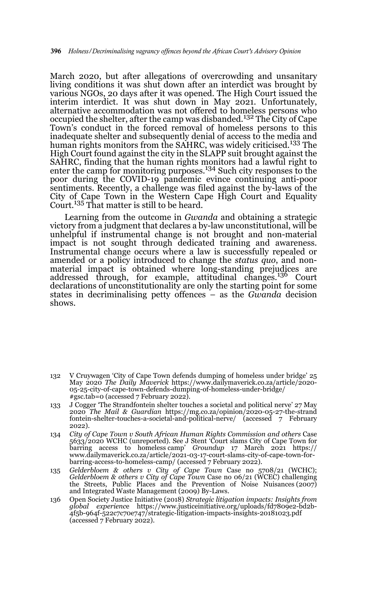March 2020, but after allegations of overcrowding and unsanitary living conditions it was shut down after an interdict was brought by various NGOs, 20 days after it was opened. The High Court issued the interim interdict. It was shut down in May 2021. Unfortunately, alternative accommodation was not offered to homeless persons who occupied the shelter, after the camp was disbanded.<sup>132</sup> The City of Cape Town's conduct in the forced removal of homeless persons to this inadequate shelter and subsequently denial of access to the media and human rights monitors from the SAHRC, was widely criticised.<sup>133</sup> The High Court found against the city in the SLAPP suit brought against the SAHRC, finding that the human rights monitors had a lawful right to enter the camp for monitoring purposes.<sup>134</sup> Such city responses to the poor during the COVID-19 pandemic evince continuing anti-poor sentiments. Recently, a challenge was filed against the by-laws of the City of Cape Town in the Western Cape High Court and Equality Court.135 That matter is still to be heard.

Learning from the outcome in *Gwanda* and obtaining a strategic victory from a judgment that declares a by-law unconstitutional, will be unhelpful if instrumental change is not brought and non-material impact is not sought through dedicated training and awareness. Instrumental change occurs where a law is successfully repealed or amended or a policy introduced to change the *status quo*, and nonmaterial impact is obtained where long-standing prejudices are addressed through, for example, attitudinal changes.<sup>136</sup> Court declarations of unconstitutionality are only the starting point for some states in decriminalising petty offences – as the *Gwanda* decision shows.

- 132 V Cruywagen 'City of Cape Town defends dumping of homeless under bridge' 25 May 2020 *The Daily Maverick* https://www.dailymaverick.co.za/article/2020- 05-25-city-of-cape-town-defends-dumping-of-homeless-under-bridge/ #gsc.tab=0 (accessed 7 February 2022).
- 133 J Cogger 'The Strandfontein shelter touches a societal and political nerve' 27 May 2020 *The Mail & Guardian* https://mg.co.za/opinion/2020-05-27-the-strand fontein-shelter-touches-a-societal-and-political-nerve/ (accessed 7 February 2022).
- 134 *City of Cape Town v South African Human Rights Commission and others* Case 5633/2020 WCHC (unreported). See J Stent 'Court slams City of Cape Town for barring access to homeless camp' *Groundup* 17 March 2021 https:// www.dailymaverick.co.za/article/2021-03-17-court-slams-city-of-cape-town-forbarring-access-to-homeless-camp/ (accessed 7 February 2022).
- 135 *Gelderbloem & others v City of Cape Town* Case no 5708/21 (WCHC); *Gelderbloem & others v City of Cape Town* Case no 06/21 (WCEC) challenging the Streets, Public Places and the Prevention of Noise Nuisances (2007) and Integrated Waste Management (2009) By-Laws.
- 136 Open Society Justice Initiative (2018) *Strategic litigation impacts: Insights from global experienc*e https://www.justiceinitiative.org/uploads/fd7809e2-bd2b-4f5b-964f-522c7c70e747/strategic-litigation-impacts-insights-20181023.pdf (accessed 7 February 2022).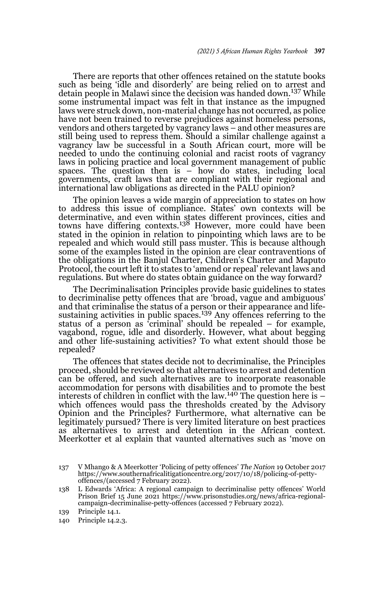There are reports that other offences retained on the statute books such as being 'idle and disorderly' are being relied on to arrest and detain people in Malawi since the decision was handed down.<sup>137</sup> While some instrumental impact was felt in that instance as the impugned laws were struck down, non-material change has not occurred, as police have not been trained to reverse prejudices against homeless persons, vendors and others targeted by vagrancy laws – and other measures are still being used to repress them. Should a similar challenge against a vagrancy law be successful in a South African court, more will be needed to undo the continuing colonial and racist roots of vagrancy laws in policing practice and local government management of public spaces. The question then is  $-$  how do states, including local governments, craft laws that are compliant with their regional and international law obligations as directed in the PALU opinion?

The opinion leaves a wide margin of appreciation to states on how to address this issue of compliance. States' own contexts will be determinative, and even within states different provinces, cities and<br>towns have differing contexts.<sup>138</sup> However, more could have been stated in the opinion in relation to pinpointing which laws are to be repealed and which would still pass muster. This is because although some of the examples listed in the opinion are clear contraventions of the obligations in the Banjul Charter, Children's Charter and Maputo Protocol, the court left it to states to 'amend or repeal' relevant laws and regulations. But where do states obtain guidance on the way forward?

The Decriminalisation Principles provide basic guidelines to states to decriminalise petty offences that are 'broad, vague and ambiguous' and that criminalise the status of a person or their appearance and lifesustaining activities in public spaces.<sup>139</sup> Any offences referring to the status of a person as 'criminal' should be repealed – for example, vagabond, rogue, idle and disorderly. However, what about begging and other life-sustaining activities? To what extent should those be repealed?

The offences that states decide not to decriminalise, the Principles proceed, should be reviewed so that alternatives to arrest and detention can be offered, and such alternatives are to incorporate reasonable accommodation for persons with disabilities and to promote the best interests of children in conflict with the law.<sup>140</sup> The question here is – which offences would pass the thresholds created by the Advisory Opinion and the Principles? Furthermore, what alternative can be legitimately pursued? There is very limited literature on best practices as alternatives to arrest and detention in the African context. Meerkotter et al explain that vaunted alternatives such as 'move on

<sup>137</sup> V Mhango & A Meerkotter 'Policing of petty offences' *The Nation* 19 October 2017 https://www.southernafricalitigationcentre.org/2017/10/18/policing-of-pettyoffences/(accessed 7 February 2022).

<sup>138</sup> L Edwards 'Africa: A regional campaign to decriminalise petty offences' World Prison Brief 15 June 2021 https://www.prisonstudies.org/news/africa-regionalcampaign-decriminalise-petty-offences (accessed 7 February 2022).

<sup>139</sup> Principle 14.1.

<sup>140</sup> Principle 14.2.3.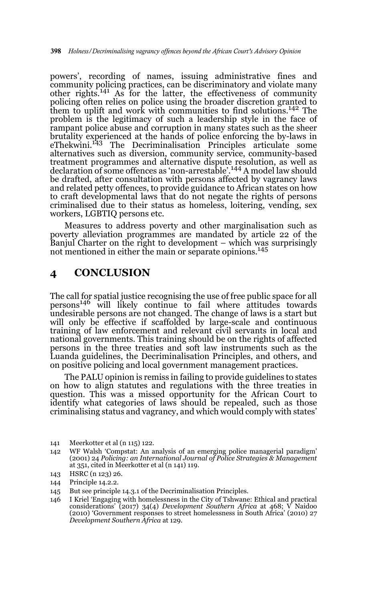powers', recording of names, issuing administrative fines and community policing practices, can be discriminatory and violate many other rights.141 As for the latter, the effectiveness of community policing often relies on police using the broader discretion granted to them to uplift and work with communities to find solutions.142 The problem is the legitimacy of such a leadership style in the face of rampant police abuse and corruption in many states such as the sheer brutality experienced at the hands of police enforcing the by-laws in eThekwini.<sup>143</sup> The Decriminalisation Principles articulate some alternatives such as diversion, community service, community-based treatment programmes and alternative dispute resolution, as well as declaration of some offences as 'non-arrestable'.144 A model law should be drafted, after consultation with persons affected by vagrancy laws and related petty offences, to provide guidance to African states on how to craft developmental laws that do not negate the rights of persons criminalised due to their status as homeless, loitering, vending, sex workers, LGBTIQ persons etc.

Measures to address poverty and other marginalisation such as poverty alleviation programmes are mandated by article 22 of the Banjul Charter on the right to development – which was surprisingly not mentioned in either the main or separate opinions.<sup>145</sup>

### **4 CONCLUSION**

The call for spatial justice recognising the use of free public space for all persons<sup>146</sup> will likely continue to fail where attitudes towards undesirable persons are not changed. The change of laws is a start but will only be effective if scaffolded by large-scale and continuous training of law enforcement and relevant civil servants in local and national governments. This training should be on the rights of affected persons in the three treaties and soft law instruments such as the Luanda guidelines, the Decriminalisation Principles, and others, and on positive policing and local government management practices.

The PALU opinion is remiss in failing to provide guidelines to states on how to align statutes and regulations with the three treaties in question. This was a missed opportunity for the African Court to identify what categories of laws should be repealed, such as those criminalising status and vagrancy, and which would comply with states'

143 HSRC (n 123) 26.

- 145 But see principle 14.3.1 of the Decriminalisation Principles.
- 146 I Kriel 'Engaging with homelessness in the City of Tshwane: Ethical and practical considerations' (2017) 34(4) *Development Southern Africa* at 468; V Naidoo (2010) 'Government responses to street homelessness in South Africa' (2010) 27 *Development Southern Africa* at 129.

<sup>141</sup> Meerkotter et al (n 115) 122.

<sup>142</sup> WF Walsh 'Compstat: An analysis of an emerging police managerial paradigm' (2001) 24 *Policing: an International Journal of Police Strategies & Management* at 351, cited in Meerkotter et al (n 141) 119.

<sup>144</sup> Principle 14.2.2.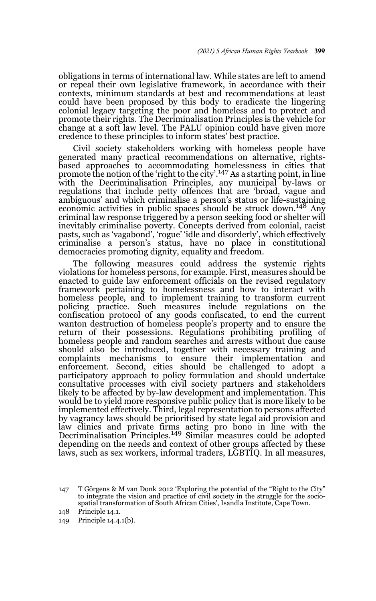obligations in terms of international law. While states are left to amend or repeal their own legislative framework, in accordance with their contexts, minimum standards at best and recommendations at least could have been proposed by this body to eradicate the lingering colonial legacy targeting the poor and homeless and to protect and promote their rights. The Decriminalisation Principles is the vehicle for change at a soft law level. The PALU opinion could have given more credence to these principles to inform states' best practice.

Civil society stakeholders working with homeless people have generated many practical recommendations on alternative, rightsbased approaches to accommodating homelessness in cities that promote the notion of the 'right to the city'.<sup>147</sup> As a starting point, in line with the Decriminalisation Principles, any municipal by-laws or regulations that include petty offences that are 'broad, vague and ambiguous' and which criminalise a person's status or life-sustaining economic activities in public spaces should be struck down.<sup>148</sup> Any criminal law response triggered by a person seeking food or shelter will inevitably criminalise poverty. Concepts derived from colonial, racist pasts, such as 'vagabond', 'rogue' 'idle and disorderly', which effectively criminalise a person's status, have no place in constitutional democracies promoting dignity, equality and freedom.

The following measures could address the systemic rights violations for homeless persons, for example. First, measures should be enacted to guide law enforcement officials on the revised regulatory framework pertaining to homelessness and how to interact with homeless people, and to implement training to transform current policing practice. Such measures include regulations on the confiscation protocol of any goods confiscated, to end the current wanton destruction of homeless people's property and to ensure the return of their possessions. Regulations prohibiting profiling of homeless people and random searches and arrests without due cause should also be introduced, together with necessary training and complaints mechanisms to ensure their implementation and enforcement. Second, cities should be challenged to adopt a participatory approach to policy formulation and should undertake consultative processes with civil society partners and stakeholders likely to be affected by by-law development and implementation. This would be to yield more responsive public policy that is more likely to be implemented effectively. Third, legal representation to persons affected by vagrancy laws should be prioritised by state legal aid provision and law clinics and private firms acting pro bono in line with the<br>Decriminalisation Principles.<sup>149</sup> Similar measures could be adopted depending on the needs and context of other groups affected by these laws, such as sex workers, informal traders, LGBTIQ. In all measures,

<sup>147</sup> T Görgens & M van Donk 2012 'Exploring the potential of the "Right to the City" to integrate the vision and practice of civil society in the struggle for the sociospatial transformation of South African Cities', Isandla Institute, Cape Town.

<sup>148</sup> Principle 14.1.

<sup>149</sup> Principle 14.4.1(b).